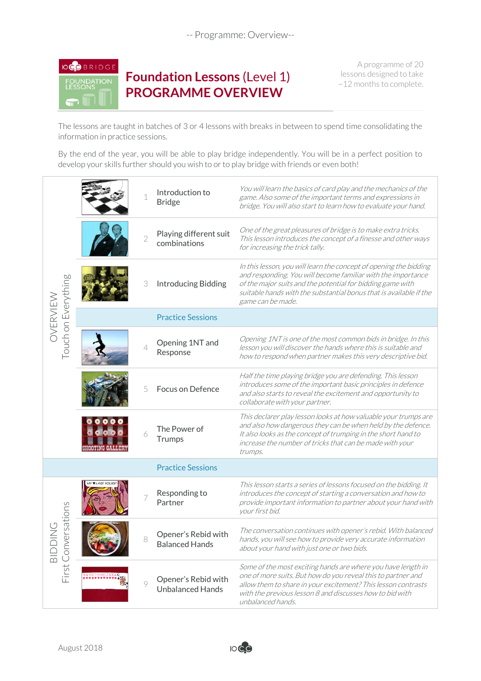-- Programme: Overview--



**Foundation Lessons** (Level 1) **PROGRAMME OVERVIEW**

A programme of 20 lessons designed to take ~12 months to complete.

The lessons are taught in batches of 3 or 4 lessons with breaks in between to spend time consolidating the information in practice sessions.

By the end of the year, you will be able to play bridge independently. You will be in a perfect position to develop your skills further should you wish to or to play bridge with friends or even both!

| Touch on Everything<br>OVERVIEW          |               | $\mathbf 1$              | Introduction to<br><b>Bridge</b>               | You will learn the basics of card play and the mechanics of the<br>game. Also some of the important terms and expressions in<br>bridge. You will also start to learn how to evaluate your hand.                                                                                            |
|------------------------------------------|---------------|--------------------------|------------------------------------------------|--------------------------------------------------------------------------------------------------------------------------------------------------------------------------------------------------------------------------------------------------------------------------------------------|
|                                          |               | $\overline{2}$           | Playing different suit<br>combinations         | One of the great pleasures of bridge is to make extra tricks.<br>This lesson introduces the concept of a finesse and other ways<br>for increasing the trick tally.                                                                                                                         |
|                                          |               | 3                        | <b>Introducing Bidding</b>                     | In this lesson, you will learn the concept of opening the bidding<br>and responding. You will become familiar with the importance<br>of the major suits and the potential for bidding game with<br>suitable hands with the substantial bonus that is available if the<br>game can be made. |
|                                          |               |                          | <b>Practice Sessions</b>                       |                                                                                                                                                                                                                                                                                            |
|                                          |               | $\overline{\mathcal{L}}$ | Opening 1NT and<br>Response                    | Opening 1NT is one of the most common bids in bridge. In this<br>lesson you will discover the hands where this is suitable and<br>how to respond when partner makes this very descriptive bid.                                                                                             |
|                                          |               | 5                        | Focus on Defence                               | Half the time playing bridge you are defending. This lesson<br>introduces some of the important basic principles in defence<br>and also starts to reveal the excitement and opportunity to<br>collaborate with your partner.                                                               |
|                                          | HODINING GAIN | 6                        | The Power of<br>Trumps                         | This declarer play lesson looks at how valuable your trumps are<br>and also how dangerous they can be when held by the defence.<br>It also looks as the concept of trumping in the short hand to<br>increase the number of tricks that can be made with your<br>trumps.                    |
|                                          |               |                          | <b>Practice Sessions</b>                       |                                                                                                                                                                                                                                                                                            |
| ersations<br>First Conv<br>$\frac{1}{2}$ |               |                          | Responding to<br>Partner                       | This lesson starts a series of lessons focused on the bidding. It<br>introduces the concept of starting a conversation and how to<br>provide important information to partner about your hand with<br>your first bid.                                                                      |
|                                          |               |                          | Opener's Rebid with<br><b>Balanced Hands</b>   | The conversation continues with opener's rebid. With balanced<br>hands, you will see how to provide very accurate information<br>about your hand with just one or two bids.                                                                                                                |
|                                          |               | 9                        | Opener's Rebid with<br><b>Unbalanced Hands</b> | Some of the most exciting hands are where you have length in<br>one of more suits. But how do you reveal this to partner and<br>allow them to share in your excitement? This lesson contrasts<br>with the previous lesson 8 and discusses how to bid with<br>unbalanced hands.             |